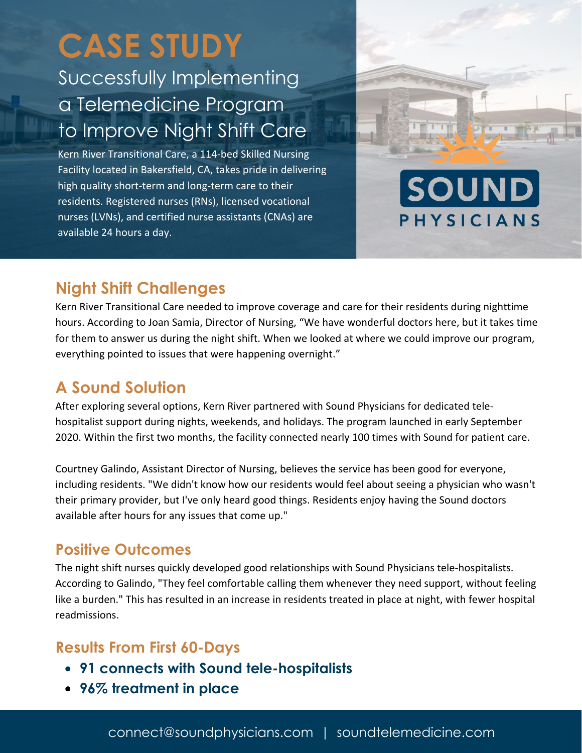# **CASE STUDY**

# Successfully Implementing a Telemedicine Program to Improve Night Shift Care

Kern River Transitional Care, a 114-bed Skilled Nursing Facility located in Bakersfield, CA, takes pride in delivering high quality short-term and long-term care to their residents. Registered nurses (RNs), licensed vocational nurses (LVNs), and certified nurse assistants (CNAs) are available 24 hours a day.



# **Night Shift Challenges**

Kern River Transitional Care needed to improve coverage and care for their residents during nighttime hours. According to Joan Samia, Director of Nursing, "We have wonderful doctors here, but it takes time for them to answer us during the night shift. When we looked at where we could improve our program, everything pointed to issues that were happening overnight."

# **A Sound Solution**

After exploring several options, Kern River partnered with Sound Physicians for dedicated telehospitalist support during nights, weekends, and holidays. The program launched in early September 2020. Within the first two months, the facility connected nearly 100 times with Sound for patient care.

Courtney Galindo, Assistant Director of Nursing, believes the service has been good for everyone, including residents. "We didn't know how our residents would feel about seeing a physician who wasn't their primary provider, but I've only heard good things. Residents enjoy having the Sound doctors available after hours for any issues that come up."

## **Positive Outcomes**

The night shift nurses quickly developed good relationships with Sound Physicians tele-hospitalists. According to Galindo, "They feel comfortable calling them whenever they need support, without feeling like a burden." This has resulted in an increase in residents treated in place at night, with fewer hospital readmissions.

# **Results From First 60-Days**

- **91 connects with Sound tele-hospitalists**
- **96% treatment in place**